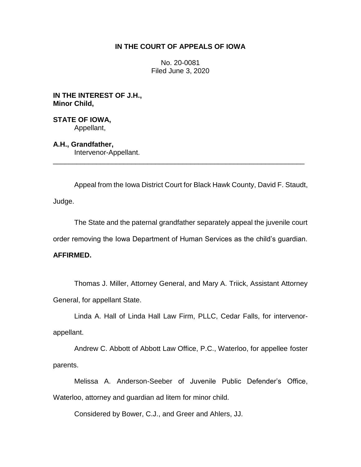# **IN THE COURT OF APPEALS OF IOWA**

No. 20-0081 Filed June 3, 2020

**IN THE INTEREST OF J.H., Minor Child,**

**STATE OF IOWA,** Appellant,

**A.H., Grandfather,** Intervenor-Appellant.

Appeal from the Iowa District Court for Black Hawk County, David F. Staudt, Judge.

\_\_\_\_\_\_\_\_\_\_\_\_\_\_\_\_\_\_\_\_\_\_\_\_\_\_\_\_\_\_\_\_\_\_\_\_\_\_\_\_\_\_\_\_\_\_\_\_\_\_\_\_\_\_\_\_\_\_\_\_\_\_\_\_

The State and the paternal grandfather separately appeal the juvenile court

order removing the Iowa Department of Human Services as the child's guardian.

# **AFFIRMED.**

Thomas J. Miller, Attorney General, and Mary A. Triick, Assistant Attorney General, for appellant State.

Linda A. Hall of Linda Hall Law Firm, PLLC, Cedar Falls, for intervenorappellant.

Andrew C. Abbott of Abbott Law Office, P.C., Waterloo, for appellee foster parents.

Melissa A. Anderson-Seeber of Juvenile Public Defender's Office, Waterloo, attorney and guardian ad litem for minor child.

Considered by Bower, C.J., and Greer and Ahlers, JJ.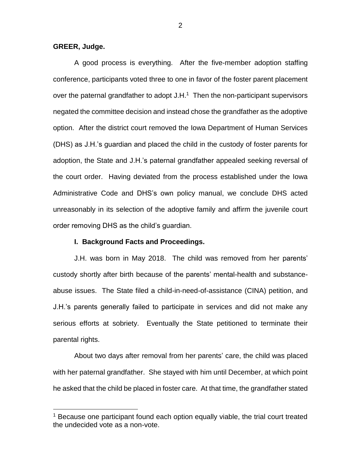## **GREER, Judge.**

 $\overline{a}$ 

A good process is everything. After the five-member adoption staffing conference, participants voted three to one in favor of the foster parent placement over the paternal grandfather to adopt  $J.H.^1$  Then the non-participant supervisors negated the committee decision and instead chose the grandfather as the adoptive option. After the district court removed the Iowa Department of Human Services (DHS) as J.H.'s guardian and placed the child in the custody of foster parents for adoption, the State and J.H.'s paternal grandfather appealed seeking reversal of the court order. Having deviated from the process established under the Iowa Administrative Code and DHS's own policy manual, we conclude DHS acted unreasonably in its selection of the adoptive family and affirm the juvenile court order removing DHS as the child's guardian.

#### **I. Background Facts and Proceedings.**

J.H. was born in May 2018. The child was removed from her parents' custody shortly after birth because of the parents' mental-health and substanceabuse issues. The State filed a child-in-need-of-assistance (CINA) petition, and J.H.'s parents generally failed to participate in services and did not make any serious efforts at sobriety. Eventually the State petitioned to terminate their parental rights.

About two days after removal from her parents' care, the child was placed with her paternal grandfather. She stayed with him until December, at which point he asked that the child be placed in foster care. At that time, the grandfather stated

<sup>&</sup>lt;sup>1</sup> Because one participant found each option equally viable, the trial court treated the undecided vote as a non-vote.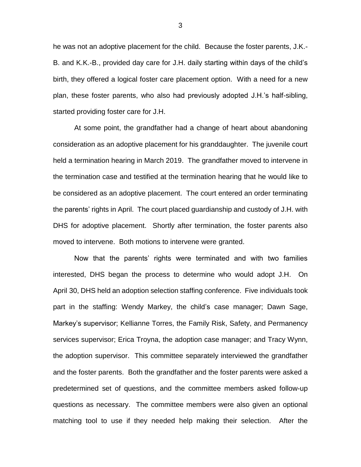he was not an adoptive placement for the child. Because the foster parents, J.K.- B. and K.K.-B., provided day care for J.H. daily starting within days of the child's birth, they offered a logical foster care placement option. With a need for a new plan, these foster parents, who also had previously adopted J.H.'s half-sibling, started providing foster care for J.H.

At some point, the grandfather had a change of heart about abandoning consideration as an adoptive placement for his granddaughter. The juvenile court held a termination hearing in March 2019. The grandfather moved to intervene in the termination case and testified at the termination hearing that he would like to be considered as an adoptive placement. The court entered an order terminating the parents' rights in April. The court placed guardianship and custody of J.H. with DHS for adoptive placement. Shortly after termination, the foster parents also moved to intervene. Both motions to intervene were granted.

Now that the parents' rights were terminated and with two families interested, DHS began the process to determine who would adopt J.H. On April 30, DHS held an adoption selection staffing conference. Five individuals took part in the staffing: Wendy Markey, the child's case manager; Dawn Sage, Markey's supervisor; Kellianne Torres, the Family Risk, Safety, and Permanency services supervisor; Erica Troyna, the adoption case manager; and Tracy Wynn, the adoption supervisor. This committee separately interviewed the grandfather and the foster parents. Both the grandfather and the foster parents were asked a predetermined set of questions, and the committee members asked follow-up questions as necessary. The committee members were also given an optional matching tool to use if they needed help making their selection. After the

3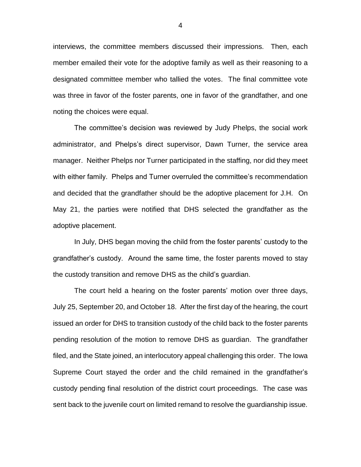interviews, the committee members discussed their impressions. Then, each member emailed their vote for the adoptive family as well as their reasoning to a designated committee member who tallied the votes. The final committee vote was three in favor of the foster parents, one in favor of the grandfather, and one noting the choices were equal.

The committee's decision was reviewed by Judy Phelps, the social work administrator, and Phelps's direct supervisor, Dawn Turner, the service area manager. Neither Phelps nor Turner participated in the staffing, nor did they meet with either family. Phelps and Turner overruled the committee's recommendation and decided that the grandfather should be the adoptive placement for J.H. On May 21, the parties were notified that DHS selected the grandfather as the adoptive placement.

In July, DHS began moving the child from the foster parents' custody to the grandfather's custody. Around the same time, the foster parents moved to stay the custody transition and remove DHS as the child's guardian.

The court held a hearing on the foster parents' motion over three days, July 25, September 20, and October 18. After the first day of the hearing, the court issued an order for DHS to transition custody of the child back to the foster parents pending resolution of the motion to remove DHS as guardian. The grandfather filed, and the State joined, an interlocutory appeal challenging this order. The Iowa Supreme Court stayed the order and the child remained in the grandfather's custody pending final resolution of the district court proceedings. The case was sent back to the juvenile court on limited remand to resolve the guardianship issue.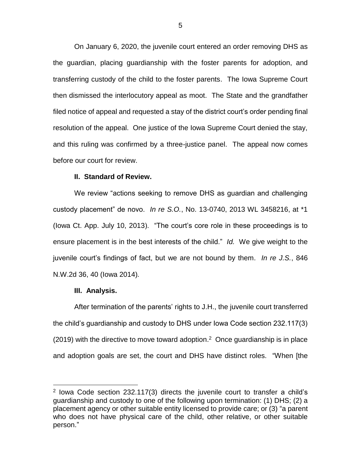On January 6, 2020, the juvenile court entered an order removing DHS as the guardian, placing guardianship with the foster parents for adoption, and transferring custody of the child to the foster parents. The Iowa Supreme Court then dismissed the interlocutory appeal as moot. The State and the grandfather filed notice of appeal and requested a stay of the district court's order pending final resolution of the appeal. One justice of the Iowa Supreme Court denied the stay, and this ruling was confirmed by a three-justice panel. The appeal now comes before our court for review.

### **II. Standard of Review.**

We review "actions seeking to remove DHS as guardian and challenging custody placement" de novo. *In re S.O.*, No. 13-0740, 2013 WL 3458216, at \*1 (Iowa Ct. App. July 10, 2013). "The court's core role in these proceedings is to ensure placement is in the best interests of the child." *Id.* We give weight to the juvenile court's findings of fact, but we are not bound by them. *In re J.S.*, 846 N.W.2d 36, 40 (Iowa 2014)*.*

#### **III. Analysis.**

 $\overline{a}$ 

After termination of the parents' rights to J.H., the juvenile court transferred the child's guardianship and custody to DHS under Iowa Code section 232.117(3)  $(2019)$  with the directive to move toward adoption.<sup>2</sup> Once guardianship is in place and adoption goals are set, the court and DHS have distinct roles. "When [the

<sup>2</sup> [Iowa Code section 232.117\(3\)](https://1.next.westlaw.com/Link/Document/FullText?findType=L&pubNum=1000256&cite=IASTS232.117&originatingDoc=I0ac5f150887011e998e8870e22e55653&refType=LQ&originationContext=document&transitionType=DocumentItem&contextData=(sc.Default)) directs the juvenile court to transfer a child's guardianship and custody to one of the following upon termination: (1) DHS; (2) a placement agency or other suitable entity licensed to provide care; or (3) "a parent who does not have physical care of the child, other relative, or other suitable person."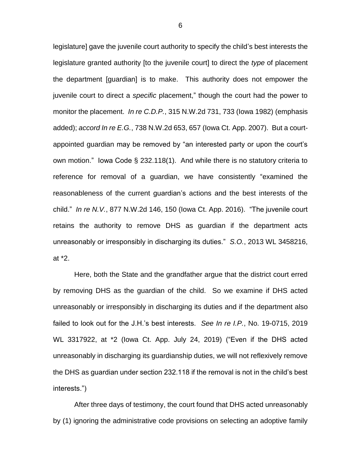legislature] gave the juvenile court authority to specify the child's best interests the legislature granted authority [to the juvenile court] to direct the *type* of placement the department [guardian] is to make. This authority does not empower the juvenile court to direct a *specific* placement," though the court had the power to monitor the placement. *In re C.D.P.*, 315 N.W.2d 731, 733 (Iowa 1982) (emphasis added); *accord In re E.G.*, 738 N.W.2d 653, 657 (Iowa Ct. App. 2007). But a courtappointed guardian may be removed by "an interested party or upon the court's own motion." Iowa Code § 232.118(1). And while there is no statutory criteria to reference for removal of a guardian, we have consistently "examined the reasonableness of the current guardian's actions and the best interests of the child." *In re N.V.*, 877 N.W.2d 146, 150 (Iowa Ct. App. 2016). "The juvenile court retains the authority to remove DHS as guardian if the department acts unreasonably or irresponsibly in discharging its duties." *S.O.*, 2013 WL 3458216, at \*2.

Here, both the State and the grandfather argue that the district court erred by removing DHS as the guardian of the child. So we examine if DHS acted unreasonably or irresponsibly in discharging its duties and if the department also failed to look out for the J.H.'s best interests. *See In re I.P.*, No. 19-0715, 2019 WL 3317922, at \*2 (Iowa Ct. App. July 24, 2019) ("Even if the DHS acted unreasonably in discharging its guardianship duties, we will not reflexively remove the DHS as guardian under section 232.118 if the removal is not in the child's best interests.")

After three days of testimony, the court found that DHS acted unreasonably by (1) ignoring the administrative code provisions on selecting an adoptive family

6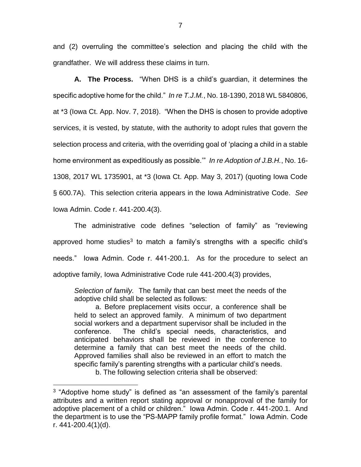and (2) overruling the committee's selection and placing the child with the grandfather. We will address these claims in turn.

**A. The Process.** "When DHS is a child's guardian, it determines the specific adoptive home for the child." *In re T.J.M.*, No. 18-1390, 2018 WL 5840806, at \*3 (Iowa Ct. App. Nov. 7, 2018). "When the DHS is chosen to provide adoptive services, it is vested, by statute, with the authority to adopt rules that govern the selection process and criteria, with the overriding goal of 'placing a child in a stable home environment as expeditiously as possible.'" *In re Adoption of J.B.H.*, No. 16- 1308, 2017 WL 1735901, at \*3 (Iowa Ct. App. May 3, 2017) (quoting Iowa Code § 600.7A). This selection criteria appears in the Iowa Administrative Code. *See*  Iowa Admin. Code r. 441-200.4(3).

The administrative code defines "selection of family" as "reviewing approved home studies<sup>3</sup> to match a family's strengths with a specific child's needs." Iowa Admin. Code r. 441-200.1. As for the procedure to select an adoptive family, Iowa Administrative Code rule 441-200.4(3) provides,

*Selection of family.* The family that can best meet the needs of the adoptive child shall be selected as follows:

a. Before preplacement visits occur, a conference shall be held to select an approved family. A minimum of two department social workers and a department supervisor shall be included in the conference. The child's special needs, characteristics, and anticipated behaviors shall be reviewed in the conference to determine a family that can best meet the needs of the child. Approved families shall also be reviewed in an effort to match the specific family's parenting strengths with a particular child's needs.

b. The following selection criteria shall be observed:

<sup>&</sup>lt;sup>3</sup> "Adoptive home study" is defined as "an assessment of the family's parental attributes and a written report stating approval or nonapproval of the family for adoptive placement of a child or children." Iowa Admin. Code r. 441-200.1. And the department is to use the "PS-MAPP family profile format." Iowa Admin. Code r. 441-200.4(1)(d).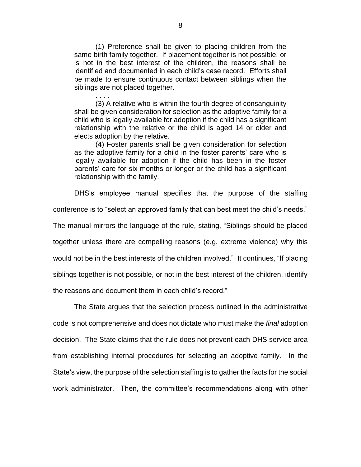(1) Preference shall be given to placing children from the same birth family together. If placement together is not possible, or is not in the best interest of the children, the reasons shall be identified and documented in each child's case record. Efforts shall be made to ensure continuous contact between siblings when the siblings are not placed together.

(3) A relative who is within the fourth degree of consanguinity shall be given consideration for selection as the adoptive family for a child who is legally available for adoption if the child has a significant relationship with the relative or the child is aged 14 or older and elects adoption by the relative.

(4) Foster parents shall be given consideration for selection as the adoptive family for a child in the foster parents' care who is legally available for adoption if the child has been in the foster parents' care for six months or longer or the child has a significant relationship with the family.

DHS's employee manual specifies that the purpose of the staffing

conference is to "select an approved family that can best meet the child's needs."

The manual mirrors the language of the rule, stating, "Siblings should be placed

together unless there are compelling reasons (e.g. extreme violence) why this

would not be in the best interests of the children involved." It continues, "If placing

siblings together is not possible, or not in the best interest of the children, identify

the reasons and document them in each child's record."

. . . .

The State argues that the selection process outlined in the administrative code is not comprehensive and does not dictate who must make the *final* adoption decision. The State claims that the rule does not prevent each DHS service area from establishing internal procedures for selecting an adoptive family. In the State's view, the purpose of the selection staffing is to gather the facts for the social work administrator. Then, the committee's recommendations along with other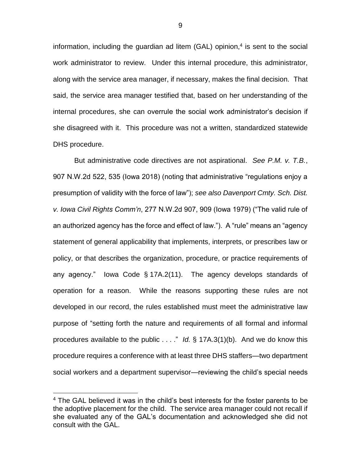information, including the guardian ad litem (GAL) opinion, $4$  is sent to the social work administrator to review. Under this internal procedure, this administrator, along with the service area manager, if necessary, makes the final decision. That said, the service area manager testified that, based on her understanding of the internal procedures, she can overrule the social work administrator's decision if she disagreed with it. This procedure was not a written, standardized statewide DHS procedure.

But administrative code directives are not aspirational. *See P.M. v. T.B.*, 907 N.W.2d 522, 535 (Iowa 2018) (noting that administrative "regulations enjoy a presumption of validity with the force of law"); *see also Davenport Cmty. Sch. Dist. v. Iowa Civil Rights Comm'n*, 277 N.W.2d 907, 909 (Iowa 1979) ("The valid rule of an authorized agency has the force and effect of law."). A "rule" means an "agency statement of general applicability that implements, interprets, or prescribes law or policy, or that describes the organization, procedure, or practice requirements of any agency." Iowa Code § 17A.2(11). The agency develops standards of operation for a reason. While the reasons supporting these rules are not developed in our record, the rules established must meet the administrative law purpose of "setting forth the nature and requirements of all formal and informal procedures available to the public . . . ." *Id.* § 17A.3(1)(b). And we do know this procedure requires a conference with at least three DHS staffers—two department social workers and a department supervisor—reviewing the child's special needs

<sup>&</sup>lt;sup>4</sup> The GAL believed it was in the child's best interests for the foster parents to be the adoptive placement for the child. The service area manager could not recall if she evaluated any of the GAL's documentation and acknowledged she did not consult with the GAL.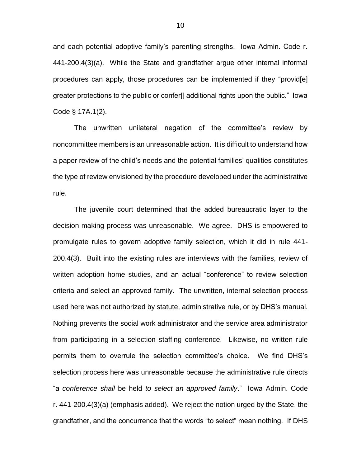and each potential adoptive family's parenting strengths. Iowa Admin. Code r. 441-200.4(3)(a). While the State and grandfather argue other internal informal procedures can apply, those procedures can be implemented if they "provid[e] greater protections to the public or confer[] additional rights upon the public." Iowa Code § 17A.1(2).

The unwritten unilateral negation of the committee's review by noncommittee members is an unreasonable action. It is difficult to understand how a paper review of the child's needs and the potential families' qualities constitutes the type of review envisioned by the procedure developed under the administrative rule.

The juvenile court determined that the added bureaucratic layer to the decision-making process was unreasonable. We agree. DHS is empowered to promulgate rules to govern adoptive family selection, which it did in rule 441- 200.4(3). Built into the existing rules are interviews with the families, review of written adoption home studies, and an actual "conference" to review selection criteria and select an approved family. The unwritten, internal selection process used here was not authorized by statute, administrative rule, or by DHS's manual. Nothing prevents the social work administrator and the service area administrator from participating in a selection staffing conference. Likewise, no written rule permits them to overrule the selection committee's choice. We find DHS's selection process here was unreasonable because the administrative rule directs "a *conference shall* be held *to select an approved family*." Iowa Admin. Code r. 441-200.4(3)(a) (emphasis added). We reject the notion urged by the State, the grandfather, and the concurrence that the words "to select" mean nothing. If DHS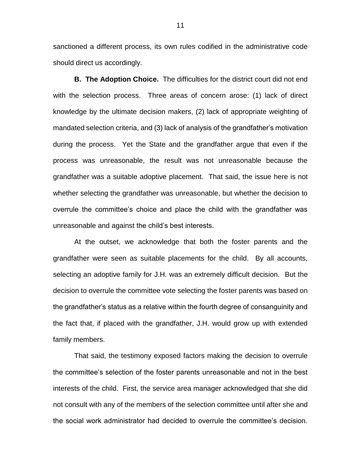sanctioned a different process, its own rules codified in the administrative code should direct us accordingly.

**B. The Adoption Choice.** The difficulties for the district court did not end with the selection process. Three areas of concern arose: (1) lack of direct knowledge by the ultimate decision makers, (2) lack of appropriate weighting of mandated selection criteria, and (3) lack of analysis of the grandfather's motivation during the process. Yet the State and the grandfather argue that even if the process was unreasonable, the result was not unreasonable because the grandfather was a suitable adoptive placement. That said, the issue here is not whether selecting the grandfather was unreasonable, but whether the decision to overrule the committee's choice and place the child with the grandfather was unreasonable and against the child's best interests.

At the outset, we acknowledge that both the foster parents and the grandfather were seen as suitable placements for the child. By all accounts, selecting an adoptive family for J.H. was an extremely difficult decision. But the decision to overrule the committee vote selecting the foster parents was based on the grandfather's status as a relative within the fourth degree of consanguinity and the fact that, if placed with the grandfather, J.H. would grow up with extended family members.

That said, the testimony exposed factors making the decision to overrule the committee's selection of the foster parents unreasonable and not in the best interests of the child. First, the service area manager acknowledged that she did not consult with any of the members of the selection committee until after she and the social work administrator had decided to overrule the committee's decision.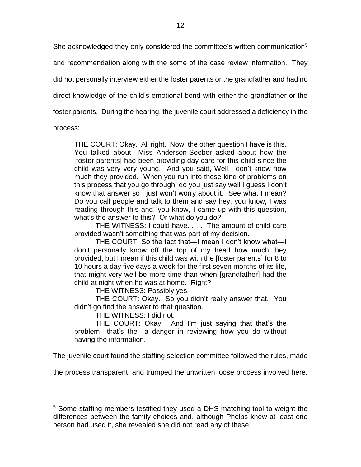She acknowledged they only considered the committee's written communication<sup>5</sup>

and recommendation along with the some of the case review information. They

did not personally interview either the foster parents or the grandfather and had no

direct knowledge of the child's emotional bond with either the grandfather or the

foster parents. During the hearing, the juvenile court addressed a deficiency in the

process:

 $\overline{a}$ 

THE COURT: Okay. All right. Now, the other question I have is this. You talked about—Miss Anderson-Seeber asked about how the [foster parents] had been providing day care for this child since the child was very very young. And you said, Well I don't know how much they provided. When you run into these kind of problems on this process that you go through, do you just say well I guess I don't know that answer so I just won't worry about it. See what I mean? Do you call people and talk to them and say hey, you know, I was reading through this and, you know, I came up with this question, what's the answer to this? Or what do you do?

THE WITNESS: I could have. . . . The amount of child care provided wasn't something that was part of my decision.

THE COURT: So the fact that—I mean I don't know what—I don't personally know off the top of my head how much they provided, but I mean if this child was with the [foster parents] for 8 to 10 hours a day five days a week for the first seven months of its life, that might very well be more time than when [grandfather] had the child at night when he was at home. Right?

THE WITNESS: Possibly yes.

THE COURT: Okay. So you didn't really answer that. You didn't go find the answer to that question.

THE WITNESS: I did not.

THE COURT: Okay. And I'm just saying that that's the problem—that's the—a danger in reviewing how you do without having the information.

The juvenile court found the staffing selection committee followed the rules, made

the process transparent, and trumped the unwritten loose process involved here.

<sup>&</sup>lt;sup>5</sup> Some staffing members testified they used a DHS matching tool to weight the differences between the family choices and, although Phelps knew at least one person had used it, she revealed she did not read any of these.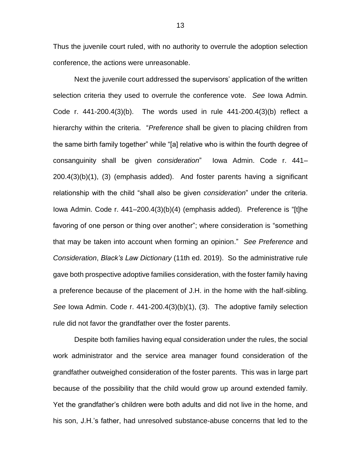Thus the juvenile court ruled, with no authority to overrule the adoption selection conference, the actions were unreasonable.

Next the juvenile court addressed the supervisors' application of the written selection criteria they used to overrule the conference vote. *See* Iowa Admin. Code r. 441-200.4(3)(b). The words used in rule 441-200.4(3)(b) reflect a hierarchy within the criteria. "*Preference* shall be given to placing children from the same birth family together" while "[a] relative who is within the fourth degree of consanguinity shall be given *consideration*" Iowa Admin. Code r. 441– 200.4(3)(b)(1), (3) (emphasis added). And foster parents having a significant relationship with the child "shall also be given *consideration*" under the criteria. Iowa Admin. Code r. 441–200.4(3)(b)(4) (emphasis added). Preference is "[t]he favoring of one person or thing over another"; where consideration is "something that may be taken into account when forming an opinion." *See Preference* and *Consideration*, *Black's Law Dictionary* (11th ed. 2019). So the administrative rule gave both prospective adoptive families consideration, with the foster family having a preference because of the placement of J.H. in the home with the half-sibling. *See* Iowa Admin. Code r. 441-200.4(3)(b)(1), (3). The adoptive family selection rule did not favor the grandfather over the foster parents.

Despite both families having equal consideration under the rules, the social work administrator and the service area manager found consideration of the grandfather outweighed consideration of the foster parents. This was in large part because of the possibility that the child would grow up around extended family. Yet the grandfather's children were both adults and did not live in the home, and his son, J.H.'s father, had unresolved substance-abuse concerns that led to the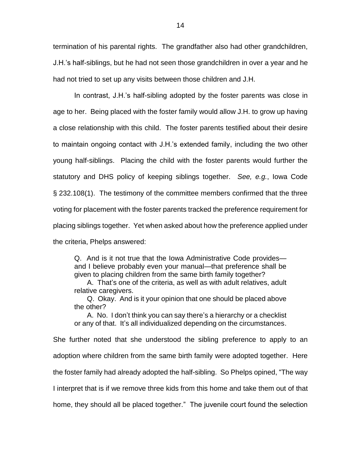termination of his parental rights. The grandfather also had other grandchildren, J.H.'s half-siblings, but he had not seen those grandchildren in over a year and he had not tried to set up any visits between those children and J.H.

In contrast, J.H.'s half-sibling adopted by the foster parents was close in age to her. Being placed with the foster family would allow J.H. to grow up having a close relationship with this child. The foster parents testified about their desire to maintain ongoing contact with J.H.'s extended family, including the two other young half-siblings. Placing the child with the foster parents would further the statutory and DHS policy of keeping siblings together. *See, e.g.*, Iowa Code § 232.108(1). The testimony of the committee members confirmed that the three voting for placement with the foster parents tracked the preference requirement for placing siblings together. Yet when asked about how the preference applied under the criteria, Phelps answered:

Q. And is it not true that the Iowa Administrative Code provides and I believe probably even your manual—that preference shall be given to placing children from the same birth family together?

A. That's one of the criteria, as well as with adult relatives, adult relative caregivers.

Q. Okay. And is it your opinion that one should be placed above the other?

A. No. I don't think you can say there's a hierarchy or a checklist or any of that. It's all individualized depending on the circumstances.

She further noted that she understood the sibling preference to apply to an adoption where children from the same birth family were adopted together. Here the foster family had already adopted the half-sibling. So Phelps opined, "The way I interpret that is if we remove three kids from this home and take them out of that home, they should all be placed together." The juvenile court found the selection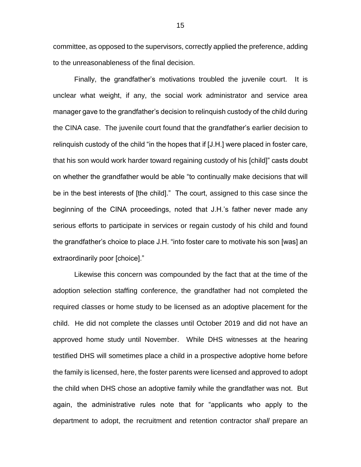committee, as opposed to the supervisors, correctly applied the preference, adding to the unreasonableness of the final decision.

Finally, the grandfather's motivations troubled the juvenile court. It is unclear what weight, if any, the social work administrator and service area manager gave to the grandfather's decision to relinquish custody of the child during the CINA case. The juvenile court found that the grandfather's earlier decision to relinquish custody of the child "in the hopes that if [J.H.] were placed in foster care, that his son would work harder toward regaining custody of his [child]" casts doubt on whether the grandfather would be able "to continually make decisions that will be in the best interests of [the child]." The court, assigned to this case since the beginning of the CINA proceedings, noted that J.H.'s father never made any serious efforts to participate in services or regain custody of his child and found the grandfather's choice to place J.H. "into foster care to motivate his son [was] an extraordinarily poor [choice]."

Likewise this concern was compounded by the fact that at the time of the adoption selection staffing conference, the grandfather had not completed the required classes or home study to be licensed as an adoptive placement for the child. He did not complete the classes until October 2019 and did not have an approved home study until November. While DHS witnesses at the hearing testified DHS will sometimes place a child in a prospective adoptive home before the family is licensed, here, the foster parents were licensed and approved to adopt the child when DHS chose an adoptive family while the grandfather was not. But again, the administrative rules note that for "applicants who apply to the department to adopt, the recruitment and retention contractor *shall* prepare an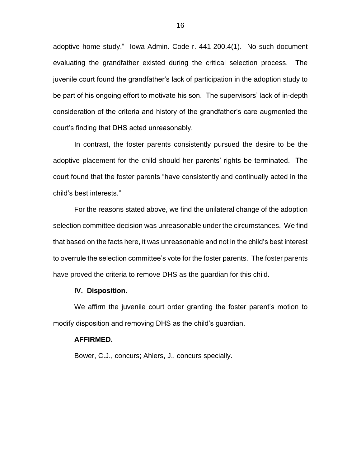adoptive home study." Iowa Admin. Code r. 441-200.4(1). No such document evaluating the grandfather existed during the critical selection process. The juvenile court found the grandfather's lack of participation in the adoption study to be part of his ongoing effort to motivate his son. The supervisors' lack of in-depth consideration of the criteria and history of the grandfather's care augmented the court's finding that DHS acted unreasonably.

In contrast, the foster parents consistently pursued the desire to be the adoptive placement for the child should her parents' rights be terminated. The court found that the foster parents "have consistently and continually acted in the child's best interests."

For the reasons stated above, we find the unilateral change of the adoption selection committee decision was unreasonable under the circumstances. We find that based on the facts here, it was unreasonable and not in the child's best interest to overrule the selection committee's vote for the foster parents. The foster parents have proved the criteria to remove DHS as the guardian for this child.

#### **IV. Disposition.**

We affirm the juvenile court order granting the foster parent's motion to modify disposition and removing DHS as the child's guardian.

#### **AFFIRMED.**

Bower, C.J., concurs; Ahlers, J., concurs specially.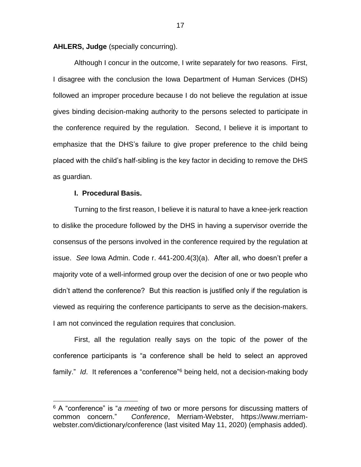**AHLERS, Judge** (specially concurring).

Although I concur in the outcome, I write separately for two reasons. First, I disagree with the conclusion the Iowa Department of Human Services (DHS) followed an improper procedure because I do not believe the regulation at issue gives binding decision-making authority to the persons selected to participate in the conference required by the regulation. Second, I believe it is important to emphasize that the DHS's failure to give proper preference to the child being placed with the child's half-sibling is the key factor in deciding to remove the DHS as guardian.

### **I. Procedural Basis.**

 $\overline{a}$ 

Turning to the first reason, I believe it is natural to have a knee-jerk reaction to dislike the procedure followed by the DHS in having a supervisor override the consensus of the persons involved in the conference required by the regulation at issue. *See* Iowa Admin. Code r. 441-200.4(3)(a). After all, who doesn't prefer a majority vote of a well-informed group over the decision of one or two people who didn't attend the conference? But this reaction is justified only if the regulation is viewed as requiring the conference participants to serve as the decision-makers. I am not convinced the regulation requires that conclusion.

First, all the regulation really says on the topic of the power of the conference participants is "a conference shall be held to select an approved family." *Id*. It references a "conference"<sup>6</sup> being held, not a decision-making body

<sup>6</sup> A "conference" is "*a meeting* of two or more persons for discussing matters of common concern." *Conference*, Merriam-Webster, https://www.merriamwebster.com/dictionary/conference (last visited May 11, 2020) (emphasis added).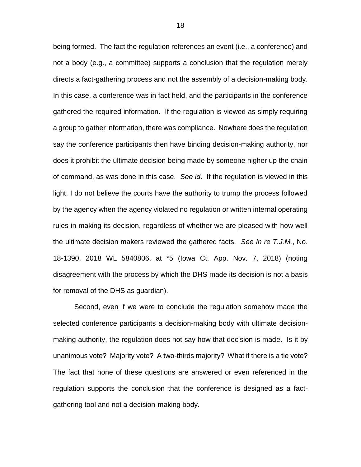being formed. The fact the regulation references an event (i.e., a conference) and not a body (e.g., a committee) supports a conclusion that the regulation merely directs a fact-gathering process and not the assembly of a decision-making body. In this case, a conference was in fact held, and the participants in the conference gathered the required information. If the regulation is viewed as simply requiring a group to gather information, there was compliance. Nowhere does the regulation say the conference participants then have binding decision-making authority, nor does it prohibit the ultimate decision being made by someone higher up the chain of command, as was done in this case. *See id*.If the regulation is viewed in this light, I do not believe the courts have the authority to trump the process followed by the agency when the agency violated no regulation or written internal operating rules in making its decision, regardless of whether we are pleased with how well the ultimate decision makers reviewed the gathered facts. *See In re T.J.M.*, No. 18-1390, 2018 WL 5840806, at \*5 (Iowa Ct. App. Nov. 7, 2018) (noting disagreement with the process by which the DHS made its decision is not a basis for removal of the DHS as guardian).

Second, even if we were to conclude the regulation somehow made the selected conference participants a decision-making body with ultimate decisionmaking authority, the regulation does not say how that decision is made. Is it by unanimous vote? Majority vote? A two-thirds majority? What if there is a tie vote? The fact that none of these questions are answered or even referenced in the regulation supports the conclusion that the conference is designed as a factgathering tool and not a decision-making body.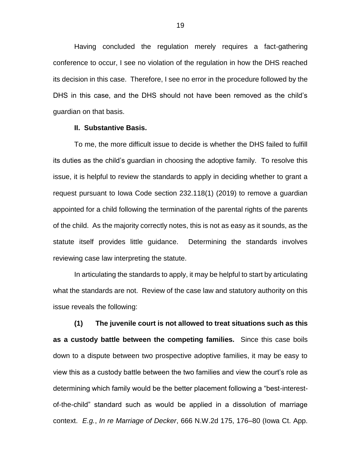Having concluded the regulation merely requires a fact-gathering conference to occur, I see no violation of the regulation in how the DHS reached its decision in this case. Therefore, I see no error in the procedure followed by the DHS in this case, and the DHS should not have been removed as the child's guardian on that basis.

#### **II. Substantive Basis.**

To me, the more difficult issue to decide is whether the DHS failed to fulfill its duties as the child's guardian in choosing the adoptive family. To resolve this issue, it is helpful to review the standards to apply in deciding whether to grant a request pursuant to Iowa Code section 232.118(1) (2019) to remove a guardian appointed for a child following the termination of the parental rights of the parents of the child. As the majority correctly notes, this is not as easy as it sounds, as the statute itself provides little guidance. Determining the standards involves reviewing case law interpreting the statute.

In articulating the standards to apply, it may be helpful to start by articulating what the standards are not. Review of the case law and statutory authority on this issue reveals the following:

**(1) The juvenile court is not allowed to treat situations such as this as a custody battle between the competing families.** Since this case boils down to a dispute between two prospective adoptive families, it may be easy to view this as a custody battle between the two families and view the court's role as determining which family would be the better placement following a "best-interestof-the-child" standard such as would be applied in a dissolution of marriage context. *E.g.*, *In re Marriage of Decker*, 666 N.W.2d 175, 176–80 (Iowa Ct. App.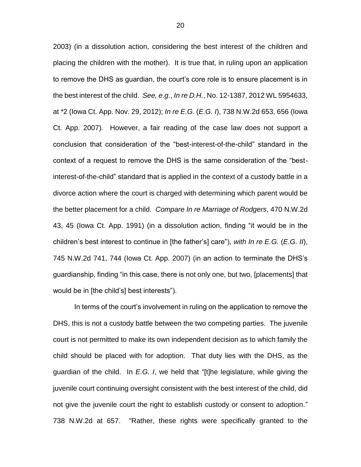2003) (in a dissolution action, considering the best interest of the children and placing the children with the mother).It is true that, in ruling upon an application to remove the DHS as guardian, the court's core role is to ensure placement is in the best interest of the child. *See, e.g.*, *In re D.H.*, No. 12-1387, 2012 WL 5954633, at \*2 (Iowa Ct. App. Nov. 29, 2012); *In re E.G.* (*E.G. I*), 738 N.W.2d 653, 656 (Iowa Ct. App. 2007)*.* However, a fair reading of the case law does not support a conclusion that consideration of the "best-interest-of-the-child" standard in the context of a request to remove the DHS is the same consideration of the "bestinterest-of-the-child" standard that is applied in the context of a custody battle in a divorce action where the court is charged with determining which parent would be the better placement for a child. *Compare In re Marriage of Rodgers*, 470 N.W.2d 43, 45 (Iowa Ct. App. 1991) (in a dissolution action, finding "it would be in the children's best interest to continue in [the father's] care"), *with In re E.G.* (*E.G. II*), 745 N.W.2d 741, 744 (Iowa Ct. App. 2007) (in an action to terminate the DHS's guardianship, finding "in this case, there is not only one, but two, [placements] that would be in [the child's] best interests").

In terms of the court's involvement in ruling on the application to remove the DHS, this is not a custody battle between the two competing parties. The juvenile court is not permitted to make its own independent decision as to which family the child should be placed with for adoption. That duty lies with the DHS, as the guardian of the child. In *E.G. I*, we held that "[t]he legislature, while giving the juvenile court continuing oversight consistent with the best interest of the child, did not give the juvenile court the right to establish custody or consent to adoption." 738 N.W.2d at 657. "Rather, these rights were specifically granted to the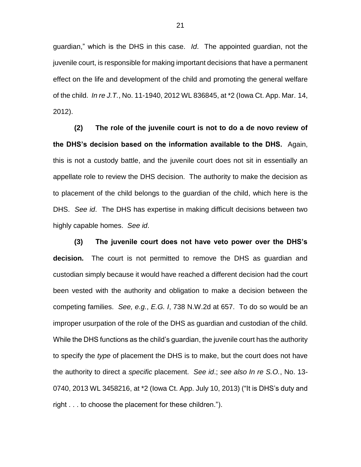guardian," which is the DHS in this case. *Id*. The appointed guardian, not the juvenile court, is responsible for making important decisions that have a permanent effect on the life and development of the child and promoting the general welfare of the child. *In re J.T.*, No. 11-1940, 2012 WL 836845, at \*2 (Iowa Ct. App. Mar. 14, 2012).

**(2) The role of the juvenile court is not to do a de novo review of the DHS's decision based on the information available to the DHS.** Again, this is not a custody battle, and the juvenile court does not sit in essentially an appellate role to review the DHS decision. The authority to make the decision as to placement of the child belongs to the guardian of the child, which here is the DHS. *See id*. The DHS has expertise in making difficult decisions between two highly capable homes. *See id*.

**(3) The juvenile court does not have veto power over the DHS's decision.** The court is not permitted to remove the DHS as guardian and custodian simply because it would have reached a different decision had the court been vested with the authority and obligation to make a decision between the competing families. *See, e.g.*, *E.G. I*, 738 N.W.2d at 657. To do so would be an improper usurpation of the role of the DHS as guardian and custodian of the child. While the DHS functions as the child's guardian, the juvenile court has the authority to specify the *type* of placement the DHS is to make, but the court does not have the authority to direct a *specific* placement. *See id*.; *see also In re S.O.*, No. 13- 0740, 2013 WL 3458216, at \*2 (Iowa Ct. App. July 10, 2013) ("It is DHS's duty and right . . . to choose the placement for these children.").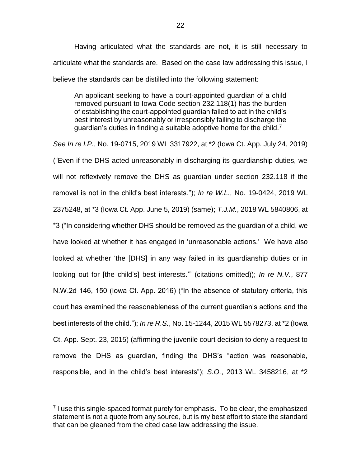Having articulated what the standards are not, it is still necessary to articulate what the standards are. Based on the case law addressing this issue, I believe the standards can be distilled into the following statement:

An applicant seeking to have a court-appointed guardian of a child removed pursuant to Iowa Code section 232.118(1) has the burden of establishing the court-appointed guardian failed to act in the child's best interest by unreasonably or irresponsibly failing to discharge the guardian's duties in finding a suitable adoptive home for the child.<sup>7</sup>

*See In re I.P.*, No. 19-0715, 2019 WL 3317922, at \*2 (Iowa Ct. App. July 24, 2019) ("Even if the DHS acted unreasonably in discharging its guardianship duties, we will not reflexively remove the DHS as guardian under section 232.118 if the removal is not in the child's best interests."); *In re W.L.*, No. 19-0424, 2019 WL 2375248, at \*3 (Iowa Ct. App. June 5, 2019) (same); *T.J.M.*, 2018 WL 5840806, at \*3 ("In considering whether DHS should be removed as the guardian of a child, we have looked at whether it has engaged in 'unreasonable actions.' We have also looked at whether 'the [DHS] in any way failed in its guardianship duties or in looking out for [the child's] best interests.'" (citations omitted)); *In re N.V.*, 877 N.W.2d 146, 150 (Iowa Ct. App. 2016) ("In the absence of statutory criteria, this court has examined the reasonableness of the current guardian's actions and the best interests of the child."); *In re R.S.*, No. 15-1244, 2015 WL 5578273, at \*2 (Iowa Ct. App. Sept. 23, 2015) (affirming the juvenile court decision to deny a request to remove the DHS as guardian, finding the DHS's "action was reasonable, responsible, and in the child's best interests"); *S.O.*, 2013 WL 3458216, at \*2

<sup>&</sup>lt;sup>7</sup> I use this single-spaced format purely for emphasis. To be clear, the emphasized statement is not a quote from any source, but is my best effort to state the standard that can be gleaned from the cited case law addressing the issue.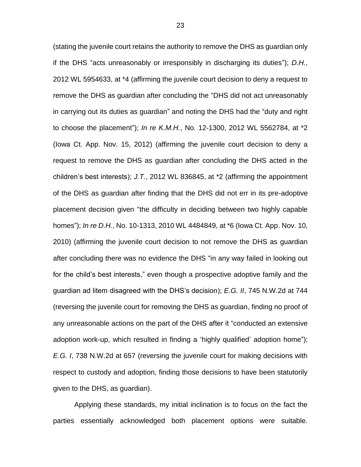(stating the juvenile court retains the authority to remove the DHS as guardian only if the DHS "acts unreasonably or irresponsibly in discharging its duties"); *D.H.*, 2012 WL 5954633, at \*4 (affirming the juvenile court decision to deny a request to remove the DHS as guardian after concluding the "DHS did not act unreasonably in carrying out its duties as guardian" and noting the DHS had the "duty and right to choose the placement"); *In re K.M.H.*, No. 12-1300, 2012 WL 5562784, at \*2 (Iowa Ct. App. Nov. 15, 2012) (affirming the juvenile court decision to deny a request to remove the DHS as guardian after concluding the DHS acted in the children's best interests); *J.T.*, 2012 WL 836845, at \*2 (affirming the appointment of the DHS as guardian after finding that the DHS did not err in its pre-adoptive placement decision given "the difficulty in deciding between two highly capable homes"); *In re D.H.*, No. 10-1313, 2010 WL 4484849, at \*6 (Iowa Ct. App. Nov. 10, 2010) (affirming the juvenile court decision to not remove the DHS as guardian after concluding there was no evidence the DHS "in any way failed in looking out for the child's best interests," even though a prospective adoptive family and the guardian ad litem disagreed with the DHS's decision); *E.G. II*, 745 N.W.2d at 744 (reversing the juvenile court for removing the DHS as guardian, finding no proof of any unreasonable actions on the part of the DHS after it "conducted an extensive adoption work-up, which resulted in finding a 'highly qualified' adoption home"); *E.G. I*, 738 N.W.2d at 657 (reversing the juvenile court for making decisions with respect to custody and adoption, finding those decisions to have been statutorily given to the DHS, as guardian).

Applying these standards, my initial inclination is to focus on the fact the parties essentially acknowledged both placement options were suitable.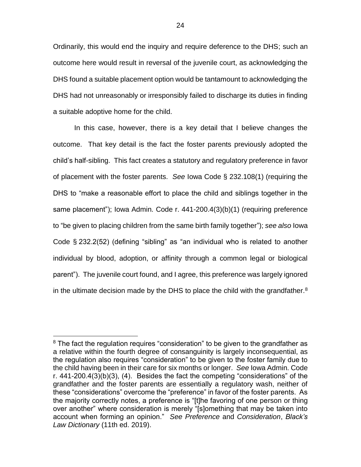Ordinarily, this would end the inquiry and require deference to the DHS; such an outcome here would result in reversal of the juvenile court, as acknowledging the DHS found a suitable placement option would be tantamount to acknowledging the DHS had not unreasonably or irresponsibly failed to discharge its duties in finding a suitable adoptive home for the child.

In this case, however, there is a key detail that I believe changes the outcome. That key detail is the fact the foster parents previously adopted the child's half-sibling. This fact creates a statutory and regulatory preference in favor of placement with the foster parents. *See* Iowa Code § 232.108(1) (requiring the DHS to "make a reasonable effort to place the child and siblings together in the same placement"); Iowa Admin. Code r. 441-200.4(3)(b)(1) (requiring preference to "be given to placing children from the same birth family together"); *see also* Iowa Code § 232.2(52) (defining "sibling" as "an individual who is related to another individual by blood, adoption, or affinity through a common legal or biological parent"). The juvenile court found, and I agree, this preference was largely ignored in the ultimate decision made by the DHS to place the child with the grandfather. $8$ 

<sup>&</sup>lt;sup>8</sup> The fact the regulation requires "consideration" to be given to the grandfather as a relative within the fourth degree of consanguinity is largely inconsequential, as the regulation also requires "consideration" to be given to the foster family due to the child having been in their care for six months or longer. *See* Iowa Admin. Code r. 441-200.4(3)(b)(3), (4). Besides the fact the competing "considerations" of the grandfather and the foster parents are essentially a regulatory wash, neither of these "considerations" overcome the "preference" in favor of the foster parents. As the majority correctly notes, a preference is "[t]he favoring of one person or thing over another" where consideration is merely "[s]omething that may be taken into account when forming an opinion." *See Preference* and *Consideration*, *Black's Law Dictionary* (11th ed. 2019).